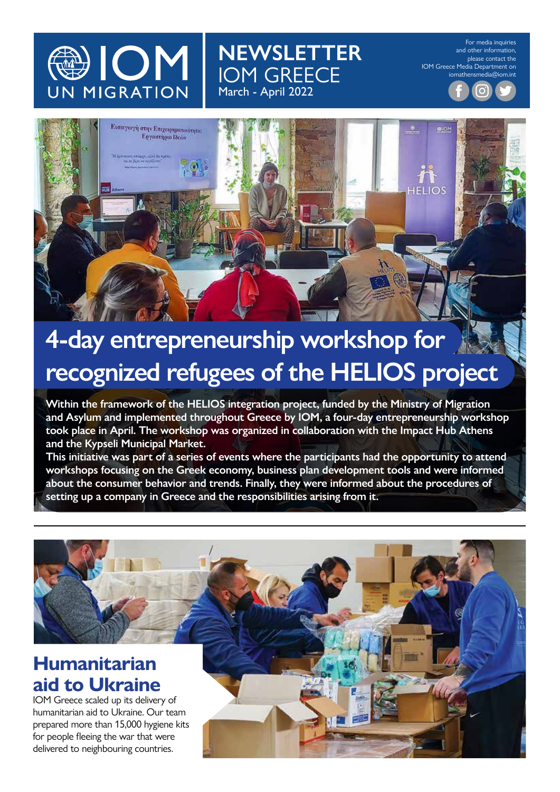

For media inquiries and other information, please contact the IOM Greece Media Department on iomathensmedia@iom.int



**NEWSLETTER**

IOM GREECE

March - April 2022

#### **4-day entrepreneurship workshop for recognized refugees of the HELIOS project**

**Within the framework of the HELIOS integration project, funded by the Ministry of Μigration and Asylum and implemented throughout Greece by IOM, a four-day entrepreneurship workshop took place in April. The workshop was organized in collaboration with the Impact Hub Athens and the Kypseli Municipal Market.** 

**This initiative was part of a series of events where the participants had the opportunity to attend workshops focusing on the Greek economy, business plan development tools and were informed about the consumer behavior and trends. Finally, they were informed about the procedures of setting up a company in Greece and the responsibilities arising from it.**

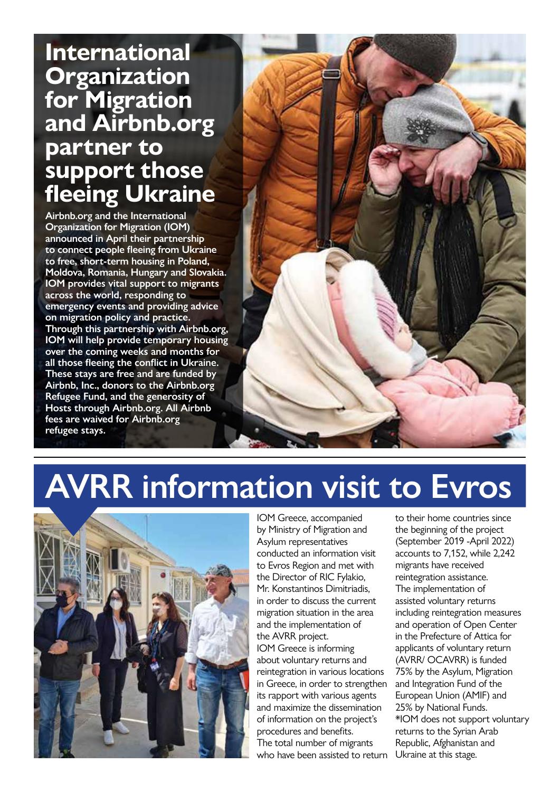#### **International Organization for Migration and Airbnb.org partner to support those fleeing Ukraine**

**Airbnb.org and the International Organization for Migration (IOM) announced in April their partnership to connect people fleeing from Ukraine to free, short-term housing in Poland, Moldova, Romania, Hungary and Slovakia. IOM provides vital support to migrants across the world, responding to emergency events and providing advice on migration policy and practice. Through this partnership with Airbnb.org, IOM will help provide temporary housing over the coming weeks and months for all those fleeing the conflict in Ukraine. These stays are free and are funded by Airbnb, Inc., donors to the Airbnb.org Refugee Fund, and the generosity of Hosts through Airbnb.org. All Airbnb fees are waived for Airbnb.org refugee stays.**



# **AVRR information visit to Evros**



IOM Greece, accompanied by Ministry of Migration and Asylum representatives conducted an information visit to Evros Region and met with the Director of RIC Fylakio, Mr. Konstantinos Dimitriadis, in order to discuss the current migration situation in the area and the implementation of the AVRR project. IOM Greece is informing about voluntary returns and reintegration in various locations in Greece, in order to strengthen its rapport with various agents and maximize the dissemination of information on the project's procedures and benefits. The total number of migrants who have been assisted to return

to their home countries since the beginning of the project (September 2019 -April 2022) accounts to 7,152, while 2,242 migrants have received reintegration assistance. The implementation of assisted voluntary returns including reintegration measures and operation of Open Center in the Prefecture of Attica for applicants of voluntary return (AVRR/ OCAVRR) is funded 75% by the Asylum, Migration and Integration Fund of the European Union (AMIF) and 25% by National Funds. \*IOM does not support voluntary returns to the Syrian Arab Republic, Afghanistan and Ukraine at this stage.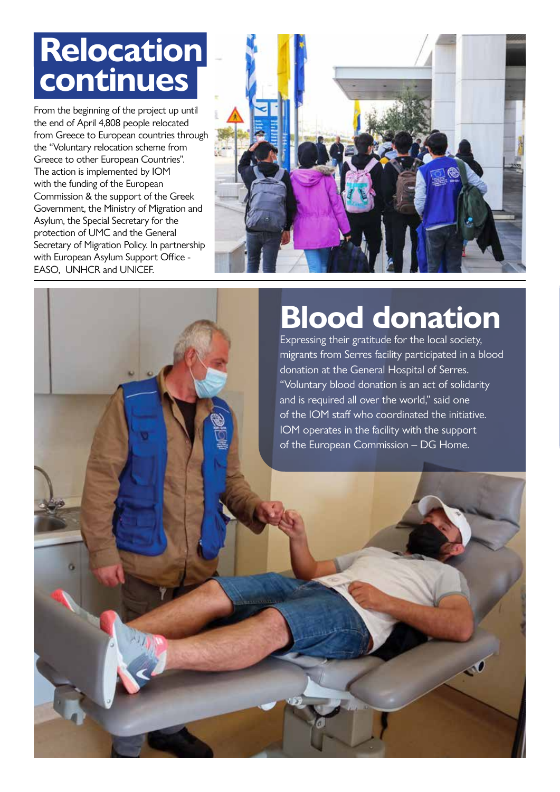### **Relocation continues**

From the beginning of the project up until the end of April 4,808 people relocated from Greece to European countries through the "Voluntary relocation scheme from Greece to other European Countries". The action is implemented by IOM with the funding of the European Commission & the support of the Greek Government, the Ministry of Migration and Asylum, the Special Secretary for the protection of UMC and the General Secretary of Migration Policy. In partnership with European Asylum Support Office - EASO, UNHCR and UNICEF.



## **Blood donation**

Expressing their gratitude for the local society, migrants from Serres facility participated in a blood donation at the General Hospital of Serres. "Voluntary blood donation is an act of solidarity and is required all over the world," said one of the IOM staff who coordinated the initiative. IOM operates in the facility with the support of the European Commission – DG Home.